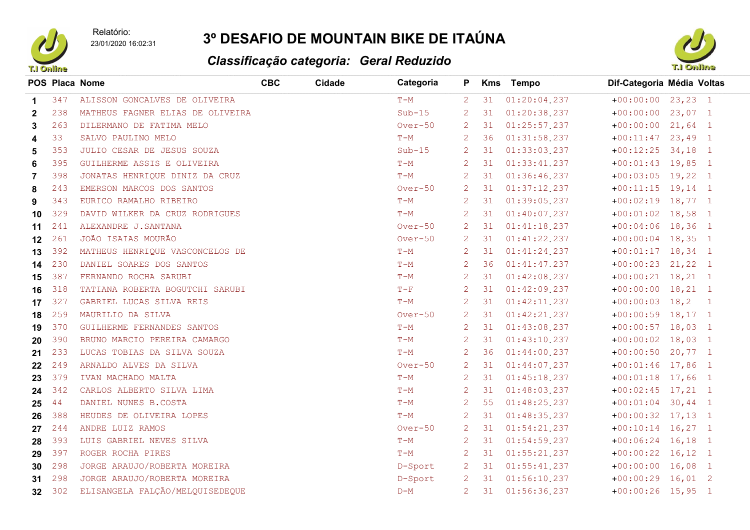Relatório:



23/01/2020 16:02:31

## 3º DESAFIO DE MOUNTAIN BIKE DE ITAÚNA

## Classificação categoria: Geral Reduzido



|                |     | <b>POS Placa Nome</b>            | <b>CBC</b> | Cidade | Categoria | P.             |      | Kms Tempo       | Dif-Categoria Média Voltas |
|----------------|-----|----------------------------------|------------|--------|-----------|----------------|------|-----------------|----------------------------|
| $\mathbf 1$    | 347 | ALISSON GONCALVES DE OLIVEIRA    |            |        | $T-M$     | $\overline{2}$ | 31   | 01:20:04.237    | $+00:00:00$ 23,23 1        |
| $\overline{2}$ | 238 | MATHEUS FAGNER ELIAS DE OLIVEIRA |            |        | $Sub-15$  | $\overline{2}$ | 31   | 01:20:38.237    | $+00:00:00$ 23,07 1        |
| 3              | 263 | DILERMANO DE FATIMA MELO         |            |        | Over-50   | $\overline{2}$ | 31   | 01:25:57.237    | $+00:00:00$ 21,64 1        |
| 4              | 33  | SALVO PAULINO MELO               |            |        | $T-M$     | $\overline{2}$ | 36   | 01:31:58.237    | $+00:11:47$ 23,49 1        |
| 5              | 353 | JULIO CESAR DE JESUS SOUZA       |            |        | $Sub-15$  | $\overline{2}$ | 31   | 01:33:03.237    | $+00:12:25$ 34,18 1        |
| 6              | 395 | GUILHERME ASSIS E OLIVEIRA       |            |        | $T-M$     | $\overline{2}$ | 31   | 01:33:41.237    | $+00:01:43$ 19,85 1        |
| 7              | 398 | JONATAS HENRIQUE DINIZ DA CRUZ   |            |        | $T-M$     | $\overline{2}$ | 31   | 01:36:46.237    | $+00:03:05$ 19,22 1        |
| 8              | 243 | EMERSON MARCOS DOS SANTOS        |            |        | Over-50   | $\overline{2}$ | 31   | 01:37:12.237    | $+00:11:15$ 19,14 1        |
| 9              | 343 | EURICO RAMALHO RIBEIRO           |            |        | $T-M$     | 2              | 31   | 01:39:05.237    | $+00:02:19$ 18,77 1        |
| 10             | 329 | DAVID WILKER DA CRUZ RODRIGUES   |            |        | $T-M$     | $\overline{2}$ | 31   | 01:40:07.237    | $+00:01:02$ 18,58 1        |
| 11             | 241 | ALEXANDRE J. SANTANA             |            |        | Over-50   |                | 2 31 | 01:41:18.237    | $+00:04:06$ 18,36 1        |
| 12             | 261 | JOÃO ISAIAS MOURÃO               |            |        | $Over-50$ | $\overline{2}$ | 31   | 01:41:22.237    | $+00:00:04$ 18,35 1        |
| 13             | 392 | MATHEUS HENRIQUE VASCONCELOS DE  |            |        | $T-M$     | $\overline{2}$ | 31   | 01:41:24.237    | $+00:01:17$ 18,34 1        |
| 14             | 230 | DANIEL SOARES DOS SANTOS         |            |        | $T-M$     | $\mathbf{2}$   | 36   | 01:41:47.237    | $+00:00:23$ 21,22 1        |
| 15             | 387 | FERNANDO ROCHA SARUBI            |            |        | $T-M$     | $\overline{2}$ | 31   | 01:42:08.237    | $+00:00:21$ 18, 21 1       |
| 16             | 318 | TATIANA ROBERTA BOGUTCHI SARUBI  |            |        | $T-F$     | $\overline{2}$ | 31   | 01:42:09.237    | $+00:00:00$ 18,21 1        |
| 17             | 327 | GABRIEL LUCAS SILVA REIS         |            |        | $T-M$     | $\overline{2}$ | 31   | 01:42:11.237    | $+00:00:03$ 18,2 1         |
| 18             | 259 | MAURILIO DA SILVA                |            |        | $Over-50$ | $\overline{2}$ | 31   | 01:42:21.237    | $+00:00:59$ 18,17 1        |
| 19             | 370 | GUILHERME FERNANDES SANTOS       |            |        | $T-M$     | 2              | 31   | 01:43:08.237    | $+00:00:57$ 18,03 1        |
| 20             | 390 | BRUNO MARCIO PEREIRA CAMARGO     |            |        | $T-M$     | $\overline{2}$ | 31   | 01:43:10.237    | $+00:00:02$ 18,03 1        |
| 21             | 233 | LUCAS TOBIAS DA SILVA SOUZA      |            |        | $T-M$     | $\mathbf{2}$   | 36   | 01:44:00.237    | $+00:00:50$ 20,77 1        |
| 22             | 249 | ARNALDO ALVES DA SILVA           |            |        | $Over-50$ | 2              | 31   | 01:44:07.237    | $+00:01:46$ 17,86 1        |
| 23             | 379 | IVAN MACHADO MALTA               |            |        | $T-M$     | $\overline{2}$ | 31   | 01:45:18.237    | $+00:01:18$ 17,66 1        |
| 24             | 342 | CARLOS ALBERTO SILVA LIMA        |            |        | $T-M$     | $\overline{2}$ | 31   | 01:48:03.237    | $+00:02:45$ 17,21 1        |
| 25             | 44  | DANIEL NUNES B.COSTA             |            |        | $T-M$     | $\overline{2}$ | 55   | 01:48:25.237    | $+00:01:04$ 30,44 1        |
| 26             | 388 | HEUDES DE OLIVEIRA LOPES         |            |        | $T-M$     | $\mathbf{2}$   | 31   | 01:48:35.237    | $+00:00:32$ 17,13 1        |
| 27             | 244 | ANDRE LUIZ RAMOS                 |            |        | Over-50   | $\overline{2}$ | 31   | $01:54:21$ 237  | $+00:10:14$ 16,27 1        |
| 28             | 393 | LUIS GABRIEL NEVES SILVA         |            |        | $T-M$     | $\overline{2}$ | 31   | 01:54:59.237    | $+00:06:24$ 16,18 1        |
| 29             | 397 | ROGER ROCHA PIRES                |            |        | $T-M$     | $\overline{2}$ | 31   | 01:55:21.237    | $+00:00:22$ 16,12 1        |
| 30             | 298 | JORGE ARAUJO/ROBERTA MOREIRA     |            |        | D-Sport   | $\overline{2}$ | 31   | 01:55:41.237    | $+00:00:00$ 16,08 1        |
| 31             | 298 | JORGE ARAUJO/ROBERTA MOREIRA     |            |        | D-Sport   | 2              | 31   | 01:56:10.237    | $+00:00:29$ 16,01 2        |
| 32             | 302 | ELISANGELA FALÇÃO/MELQUISEDEQUE  |            |        | $D-M$     | 2              |      | 31 01:56:36.237 | $+00:00:26$ 15,95 1        |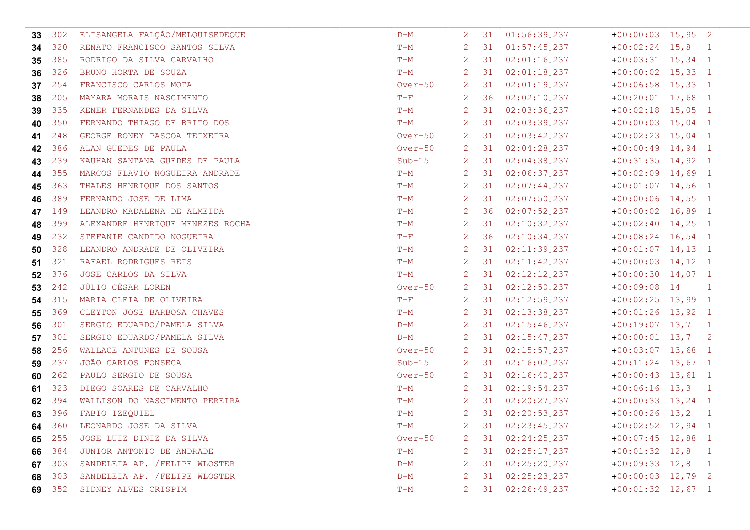| 33  | 302    | ELISANGELA FALÇÃO/MELQUISEDEQUE  | $D-M$     | $\mathbf{2}$         | 31           | 01:56:39.237      | $+00:00:03$ 15,95 2 |              |
|-----|--------|----------------------------------|-----------|----------------------|--------------|-------------------|---------------------|--------------|
| 34  | 320    | RENATO FRANCISCO SANTOS SILVA    | $T-M$     | $\mathbf{2}^{\circ}$ | 31           | 01:57:45.237      | $+00:02:24$ 15,8 1  |              |
| 35  | 385    | RODRIGO DA SILVA CARVALHO        | $T-M$     | $\mathbf{2}$         | 31           | 02:01:16.237      | $+00:03:31$ 15,34 1 |              |
| 36  | 326    | BRUNO HORTA DE SOUZA             | $T-M$     | $\mathbf{2}$         | 31           | 02:01:18.237      | $+00:00:02$ 15,33 1 |              |
| 37  | 254    | FRANCISCO CARLOS MOTA            | $Over-50$ | 2 <sup>7</sup>       | 31           | 02:01:19.237      | $+00:06:58$ 15,33 1 |              |
| -38 | 205    | MAYARA MORAIS NASCIMENTO         | $T-F$     | $\overline{2}$       | 36           | 02:02:10.237      | $+00:20:01$ 17,68 1 |              |
| 39  | 335    | KENER FERNANDES DA SILVA         | $T-M$     | $\mathbf{2}$         | 31           | 02:03:36.237      | $+00:02:18$ 15,05 1 |              |
| 40  | 350    | FERNANDO THIAGO DE BRITO DOS     | $T-M$     | $\mathbf{2}$         | 31           | 02:03:39.237      | $+00:00:03$ 15,04 1 |              |
| 41  | 248    | GEORGE RONEY PASCOA TEIXEIRA     | $Over-50$ | $\overline{2}$       | 31           | 02:03:42.237      | $+00:02:23$ 15,04 1 |              |
| 42  | 386    | ALAN GUEDES DE PAULA             | $Over-50$ | 2                    | 31           | 02:04:28.237      | $+00:00:49$ 14,94 1 |              |
| 43  | 239    | KAUHAN SANTANA GUEDES DE PAULA   | $Sub-15$  |                      | 2 31         | 02:04:38.237      | $+00:31:35$ 14,92 1 |              |
| 44  | 355    | MARCOS FLAVIO NOGUEIRA ANDRADE   | $T-M$     | $\mathbf{2}$         | 31           | 02:06:37.237      | $+00:02:09$ 14,69 1 |              |
| 45  | 363    | THALES HENRIQUE DOS SANTOS       | $T-M$     | $\mathbf{2}$         | 31           | $02:07:44$ 237    | $+00:01:07$ 14,56 1 |              |
| 46  | 389    | FERNANDO JOSE DE LIMA            | $T-M$     | $\mathbf{2}^{\circ}$ | 31           | 02:07:50.237      | $+00:00:06$ 14,55 1 |              |
| 47  | 149    | LEANDRO MADALENA DE ALMEIDA      | $T-M$     | $\mathbf{2}^{\circ}$ | 36           | 02:07:52.237      | $+00:00:02$ 16,89 1 |              |
| 48  | 399    | ALEXANDRE HENRIQUE MENEZES ROCHA | $T-M$     | $\mathbf{2}$         | 31           | 02:10:32.237      | $+00:02:40$ 14,25 1 |              |
| 49  | 232    | STEFANIE CANDIDO NOGUEIRA        | $T-F$     | $\mathbf{2}$         | 36           | 02:10:34.237      | $+00:08:24$ 16,54 1 |              |
| 50  | 328    | LEANDRO ANDRADE DE OLIVEIRA      | $T-M$     | $\mathbf{2}^{\circ}$ | 31           | 02:11:39.237      | $+00:01:07$ 14,13 1 |              |
| 51  | 321    | RAFAEL RODRIGUES REIS            | $T-M$     | $\mathbf{2}$         | 31           | 02:11:42.237      | $+00:00:03$ 14,12 1 |              |
| 52  | 376    | JOSE CARLOS DA SILVA             | $T-M$     | $\mathbf{2}$         | 31           | 02:12:12.237      | $+00:00:30$ 14,07 1 |              |
| 53  | 242    | JÚLIO CÉSAR LOREN                | $Over-50$ | $\mathbf{2}$         | 31           | 02:12:50.237      | $+00:09:08$ 14      | $\sim$ 1     |
| 54  | 315    | MARIA CLEIA DE OLIVEIRA          | $T-F$     | $\overline{2}$       | 31           | 02:12:59.237      | $+00:02:25$ 13,99 1 |              |
| 55  | 369    | CLEYTON JOSE BARBOSA CHAVES      | $T-M$     | $\mathbf{2}$         | 31           | 02:13:38.237      | $+00:01:26$ 13,92 1 |              |
| 56  | 301    | SERGIO EDUARDO/PAMELA SILVA      | $D-M$     | $\mathbf{2}^{\circ}$ | 31           | 02:15:46.237      | $+00:19:07$ 13,7 1  |              |
| 57  | 301    | SERGIO EDUARDO/PAMELA SILVA      | $D-M$     | $\mathbf{2}^{\circ}$ | 31           | 02:15:47.237      | $+00:00:01$ 13,7 2  |              |
| 58  | 256    | WALLACE ANTUNES DE SOUSA         | $Over-50$ | $\mathbf{2}$         | 31           | 02:15:57.237      | $+00:03:07$ 13,68 1 |              |
| 59  | 237    | JOÃO CARLOS FONSECA              | $Sub-15$  |                      | 2 31         | 02:16:02.237      | $+00:11:24$ 13,67 1 |              |
| 60  | 262    | PAULO SERGIO DE SOUSA            | $Over-50$ |                      | $2 \quad 31$ | 02:16:40.237      | $+00:00:43$ 13,61 1 |              |
| 61  | 323    | DIEGO SOARES DE CARVALHO         | $T-M$     | $\mathbf{2}$         | 31           | 02:19:54.237      | $+00:06:16$ 13,3 1  |              |
| 62  | 394    | WALLISON DO NASCIMENTO PEREIRA   | $T-M$     | $\mathbf{2}$         | 31           | 02:20:27.237      | $+00:00:33$ 13,24 1 |              |
|     | 63 396 | FABIO IZEQUIEL                   | $T-M$     | $\mathbf{2}$         | 31           | 02:20:53.237      | $+00:00:26$ 13,2    | $\mathbf{1}$ |
|     |        | 64 360 LEONARDO JOSE DA SILVA    | $T-M$     |                      |              | 2 31 02:23:45.237 | $+00:02:52$ 12,94 1 |              |
| 65  | 255    | JOSE LUIZ DINIZ DA SILVA         | $Over-50$ | 2                    | 31           | 02:24:25.237      | $+00:07:45$ 12,88 1 |              |
| 66  | 384    | JUNIOR ANTONIO DE ANDRADE        | $T-M$     | $\mathbf{2}^-$       | 31           | 02:25:17.237      | $+00:01:32$ 12,8    | $\mathbf{1}$ |
|     | 67 303 | SANDELEIA AP. / FELIPE WLOSTER   | $D-M$     | 2                    | 31           | 02:25:20.237      | $+00:09:33$ 12,8 1  |              |
| 68  | 303    | SANDELEIA AP. / FELIPE WLOSTER   | $D-M$     | $\mathbf{2}^{\circ}$ | 31           | 02:25:23.237      | $+00:00:03$ 12,79 2 |              |
|     | 69 352 | SIDNEY ALVES CRISPIM             | $T-M$     | $\mathbf{2}$         | 31           | 02:26:49.237      | $+00:01:32$ 12,67 1 |              |
|     |        |                                  |           |                      |              |                   |                     |              |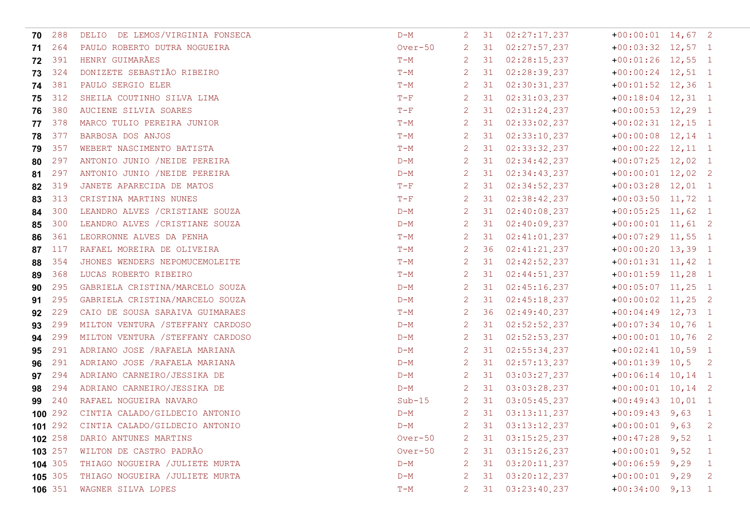| 288     | DELIO DE LEMOS/VIRGINIA FONSECA   | $D-M$                                  | $\mathbf{2}$              | 31  | 02:27:17.237     |                   |                                                                                                                                                                                                                                                                                                                                                                                                                                                                                                                                                                                                                                                                                                                                                                                                                                                               |
|---------|-----------------------------------|----------------------------------------|---------------------------|-----|------------------|-------------------|---------------------------------------------------------------------------------------------------------------------------------------------------------------------------------------------------------------------------------------------------------------------------------------------------------------------------------------------------------------------------------------------------------------------------------------------------------------------------------------------------------------------------------------------------------------------------------------------------------------------------------------------------------------------------------------------------------------------------------------------------------------------------------------------------------------------------------------------------------------|
| 264     | PAULO ROBERTO DUTRA NOGUEIRA      | Over-50                                | $\mathbf{2}$              | 31  | 02:27:57.237     |                   |                                                                                                                                                                                                                                                                                                                                                                                                                                                                                                                                                                                                                                                                                                                                                                                                                                                               |
| 391     | HENRY GUIMARÃES                   | $T-M$                                  | $\mathbf{2}$              | 31  | 02:28:15.237     |                   |                                                                                                                                                                                                                                                                                                                                                                                                                                                                                                                                                                                                                                                                                                                                                                                                                                                               |
| 324     | DONIZETE SEBASTIÃO RIBEIRO        | $T-M$                                  | $\overline{2}$            | 31  | 02:28:39.237     |                   |                                                                                                                                                                                                                                                                                                                                                                                                                                                                                                                                                                                                                                                                                                                                                                                                                                                               |
| 381     | PAULO SERGIO ELER                 | $T-M$                                  | $\mathbf{2}$              | 31  | 02:30:31.237     |                   |                                                                                                                                                                                                                                                                                                                                                                                                                                                                                                                                                                                                                                                                                                                                                                                                                                                               |
| 312     | SHEILA COUTINHO SILVA LIMA        | $T-F$                                  | $\overline{2}$            | 31  | 02:31:03.237     |                   |                                                                                                                                                                                                                                                                                                                                                                                                                                                                                                                                                                                                                                                                                                                                                                                                                                                               |
| 380     | AUCIENE SILVIA SOARES             | $T-F$                                  | $\mathbf{2}^{\circ}$      | 31  | 02:31:24.237     |                   |                                                                                                                                                                                                                                                                                                                                                                                                                                                                                                                                                                                                                                                                                                                                                                                                                                                               |
| 378     | MARCO TULIO PEREIRA JUNIOR        | $T-M$                                  | $\mathbf{2}^{\circ}$      | 31  | 02:33:02.237     |                   |                                                                                                                                                                                                                                                                                                                                                                                                                                                                                                                                                                                                                                                                                                                                                                                                                                                               |
| 377     | BARBOSA DOS ANJOS                 | $T-M$                                  | $\mathbf{2}^{\circ}$      | 31  | 02:33:10.237     |                   |                                                                                                                                                                                                                                                                                                                                                                                                                                                                                                                                                                                                                                                                                                                                                                                                                                                               |
| 357     | WEBERT NASCIMENTO BATISTA         | $T-M$                                  | $\mathbf{2}^{\circ}$      | 31  | 02:33:32.237     |                   |                                                                                                                                                                                                                                                                                                                                                                                                                                                                                                                                                                                                                                                                                                                                                                                                                                                               |
| 297     | ANTONIO JUNIO /NEIDE PEREIRA      | $D-M$                                  | $\mathbf{2}$              | 31  | 02:34:42.237     |                   |                                                                                                                                                                                                                                                                                                                                                                                                                                                                                                                                                                                                                                                                                                                                                                                                                                                               |
| 297     | ANTONIO JUNIO /NEIDE PEREIRA      | $D-M$                                  | $\mathbf{2}$              | 31  | 02:34:43.237     |                   |                                                                                                                                                                                                                                                                                                                                                                                                                                                                                                                                                                                                                                                                                                                                                                                                                                                               |
| 319     | JANETE APARECIDA DE MATOS         | $T-F$                                  | $\mathbf{2}^{\circ}$      | 31  | 02:34:52.237     |                   |                                                                                                                                                                                                                                                                                                                                                                                                                                                                                                                                                                                                                                                                                                                                                                                                                                                               |
| 313     | CRISTINA MARTINS NUNES            | $T-F$                                  | $\mathbf{2}^{\circ}$      | 31  | 02:38:42.237     |                   |                                                                                                                                                                                                                                                                                                                                                                                                                                                                                                                                                                                                                                                                                                                                                                                                                                                               |
| 300     | LEANDRO ALVES / CRISTIANE SOUZA   | $D-M$                                  | $\mathbf{2}^{\circ}$      | 31  | 02:40:08.237     |                   |                                                                                                                                                                                                                                                                                                                                                                                                                                                                                                                                                                                                                                                                                                                                                                                                                                                               |
| 300     | LEANDRO ALVES / CRISTIANE SOUZA   | $D-M$                                  | $\mathbf{2}$              | 31  | 02:40:09.237     |                   |                                                                                                                                                                                                                                                                                                                                                                                                                                                                                                                                                                                                                                                                                                                                                                                                                                                               |
| 361     | LEORRONNE ALVES DA PENHA          | $T-M$                                  | $\mathbf{2}$              | 31  | 02:41:01.237     |                   |                                                                                                                                                                                                                                                                                                                                                                                                                                                                                                                                                                                                                                                                                                                                                                                                                                                               |
| 117     | RAFAEL MOREIRA DE OLIVEIRA        | $T-M$                                  | $\mathbf{2}^{\circ}$      | 36  | 02:41:21.237     |                   |                                                                                                                                                                                                                                                                                                                                                                                                                                                                                                                                                                                                                                                                                                                                                                                                                                                               |
| 354     | JHONES WENDERS NEPOMUCEMOLEITE    | $T-M$                                  | $\mathbf{2}$              | 31  | 02:42:52.237     |                   |                                                                                                                                                                                                                                                                                                                                                                                                                                                                                                                                                                                                                                                                                                                                                                                                                                                               |
| 368     | LUCAS ROBERTO RIBEIRO             | $T-M$                                  | $\mathbf{2}^{\circ}$      | 31  | 02:44:51.237     |                   |                                                                                                                                                                                                                                                                                                                                                                                                                                                                                                                                                                                                                                                                                                                                                                                                                                                               |
| 295     | GABRIELA CRISTINA/MARCELO SOUZA   | $D-M$                                  | $\mathbf{2}^{\circ}$      | 31  | 02:45:16.237     |                   |                                                                                                                                                                                                                                                                                                                                                                                                                                                                                                                                                                                                                                                                                                                                                                                                                                                               |
| 295     | GABRIELA CRISTINA/MARCELO SOUZA   | $D-M$                                  | $\mathbf{2}$              | 31  | 02:45:18.237     |                   |                                                                                                                                                                                                                                                                                                                                                                                                                                                                                                                                                                                                                                                                                                                                                                                                                                                               |
| 229     | CAIO DE SOUSA SARAIVA GUIMARAES   | $T-M$                                  | $\mathbf{2}$              | 36  | 02:49:40.237     |                   |                                                                                                                                                                                                                                                                                                                                                                                                                                                                                                                                                                                                                                                                                                                                                                                                                                                               |
| 299     | MILTON VENTURA / STEFFANY CARDOSO | $D-M$                                  | $\mathbf{2}$              | 31  | 02:52:52.237     |                   |                                                                                                                                                                                                                                                                                                                                                                                                                                                                                                                                                                                                                                                                                                                                                                                                                                                               |
| 299     | MILTON VENTURA / STEFFANY CARDOSO | $D-M$                                  | $\mathbf{2}^{\mathsf{I}}$ | 31  | 02:52:53.237     |                   |                                                                                                                                                                                                                                                                                                                                                                                                                                                                                                                                                                                                                                                                                                                                                                                                                                                               |
| 291     | ADRIANO JOSE / RAFAELA MARIANA    | $D-M$                                  | $\mathbf{2}^{\circ}$      | 31  | 02:55:34.237     |                   |                                                                                                                                                                                                                                                                                                                                                                                                                                                                                                                                                                                                                                                                                                                                                                                                                                                               |
| 291     | ADRIANO JOSE / RAFAELA MARIANA    | $D-M$                                  | $\mathbf{2}^{\circ}$      | 31  | 02:57:13.237     |                   |                                                                                                                                                                                                                                                                                                                                                                                                                                                                                                                                                                                                                                                                                                                                                                                                                                                               |
| 294     | ADRIANO CARNEIRO/JESSIKA DE       | $D-M$                                  | $\mathbf{2}$              | 31  | 03:03:27.237     |                   |                                                                                                                                                                                                                                                                                                                                                                                                                                                                                                                                                                                                                                                                                                                                                                                                                                                               |
| 294     | ADRIANO CARNEIRO/JESSIKA DE       | $D-M$                                  | $\mathbf{2}$              | 31  | 03:03:28.237     |                   |                                                                                                                                                                                                                                                                                                                                                                                                                                                                                                                                                                                                                                                                                                                                                                                                                                                               |
| 240     | RAFAEL NOGUEIRA NAVARO            | $Sub-15$                               | $\overline{2}$            | 31  | 03:05:45.237     |                   |                                                                                                                                                                                                                                                                                                                                                                                                                                                                                                                                                                                                                                                                                                                                                                                                                                                               |
| 100 292 | CINTIA CALADO/GILDECIO ANTONIO    | $D-M$                                  | 2                         | 31  | $03:13:11$ , 237 |                   | -1                                                                                                                                                                                                                                                                                                                                                                                                                                                                                                                                                                                                                                                                                                                                                                                                                                                            |
|         |                                   | $D-M$                                  |                           |     |                  |                   |                                                                                                                                                                                                                                                                                                                                                                                                                                                                                                                                                                                                                                                                                                                                                                                                                                                               |
| 102 258 | DARIO ANTUNES MARTINS             | $Over-50$                              | 2                         | -31 | 03:15:25.237     |                   | -1                                                                                                                                                                                                                                                                                                                                                                                                                                                                                                                                                                                                                                                                                                                                                                                                                                                            |
| 103 257 | WILTON DE CASTRO PADRÃO           | Over-50                                | $\mathbf{2}^-$            | 31  | 03:15:26.237     |                   | $\mathbf{1}$                                                                                                                                                                                                                                                                                                                                                                                                                                                                                                                                                                                                                                                                                                                                                                                                                                                  |
| 104 305 | THIAGO NOGUEIRA / JULIETE MURTA   | $D-M$                                  | $\mathbf{2}^{\circ}$      | 31  | 03:20:11.237     |                   | -1                                                                                                                                                                                                                                                                                                                                                                                                                                                                                                                                                                                                                                                                                                                                                                                                                                                            |
| 105 305 | THIAGO NOGUEIRA / JULIETE MURTA   | $D-M$                                  | $\mathbf{2}^{\circ}$      | 31  | 03:20:12.237     |                   | 2                                                                                                                                                                                                                                                                                                                                                                                                                                                                                                                                                                                                                                                                                                                                                                                                                                                             |
| 106 351 | WAGNER SILVA LOPES                | $T-M$                                  | $\mathbf{2}$              | 31  | 03:23:40.237     |                   | $\mathbf{1}$                                                                                                                                                                                                                                                                                                                                                                                                                                                                                                                                                                                                                                                                                                                                                                                                                                                  |
|         |                                   | 101 292 CINTIA CALADO/GILDECIO ANTONIO |                           |     |                  | 2 31 03:13:12.237 | $+00:00:01$ 14,67 2<br>$+00:03:32$ 12,57 1<br>$+00:01:26$ 12,55 1<br>$+00:00:24$ 12,51 1<br>$+00:01:52$ 12,36 1<br>$+00:18:04$ 12,31 1<br>$+00:00:53$ 12,29 1<br>$+00:02:31$ 12,15 1<br>$+00:00:08$ 12, 14 1<br>$+00:00:22$ 12, 11 1<br>$+00:07:25$ 12,02 1<br>$+00:00:01$ 12,02 2<br>$+00:03:28$ 12,01 1<br>$+00:03:50$ 11,72 1<br>$+00:05:25$ 11,62 1<br>$+00:00:01$ 11,61 2<br>$+00:07:29$ 11,55 1<br>$+00:00:20$ 13,39 1<br>$+00:01:31$ 11,42 1<br>$+00:01:59$ 11,28 1<br>$+00:05:07$ 11,25 1<br>$+00:00:02$ 11,25 2<br>$+00:04:49$ 12,73 1<br>$+00:07:34$ 10,76 1<br>$+00:00:01$ 10,76 2<br>$+00:02:41$ 10,59 1<br>$+00:01:39$ 10,5 2<br>$+00:06:14$ 10,14 1<br>$+00:00:01$ 10,14 2<br>$+00:49:43$ 10,01 1<br>$+00:09:43$ 9,63<br>$+00:00:01$ 9,63 2<br>$+00:47:28$ 9,52<br>$+00:00:01$ 9,52<br>$+00:06:59$ 9,29<br>$+00:00:01$ 9,29<br>$+00:34:00$ 9,13 |